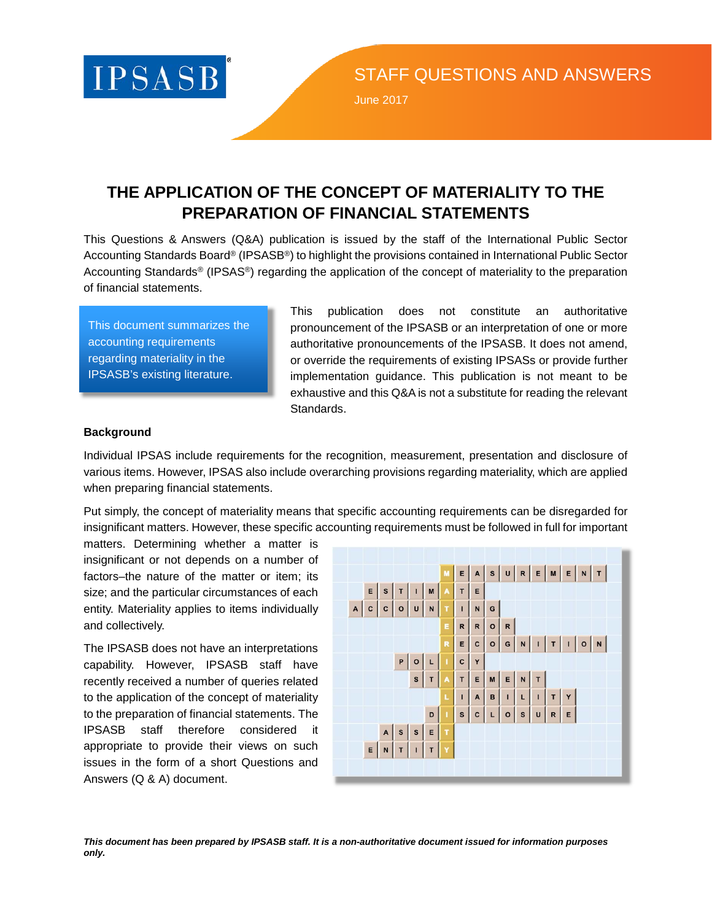

June 2017

# **THE APPLICATION OF THE CONCEPT OF MATERIALITY TO THE PREPARATION OF FINANCIAL STATEMENTS**

This Questions & Answers (Q&A) publication is issued by the staff of the International Public Sector Accounting Standards Board® (IPSASB®) to highlight the provisions contained in International Public Sector Accounting Standards® (IPSAS®) regarding the application of the concept of materiality to the preparation of financial statements.

This document summarizes the accounting requirements regarding materiality in the IPSASB's existing literature.

This publication does not constitute an authoritative pronouncement of the IPSASB or an interpretation of one or more authoritative pronouncements of the IPSASB. It does not amend, or override the requirements of existing IPSASs or provide further implementation guidance. This publication is not meant to be exhaustive and this Q&A is not a substitute for reading the relevant Standards.

# **Background**

Individual IPSAS include requirements for the recognition, measurement, presentation and disclosure of various items. However, IPSAS also include overarching provisions regarding materiality, which are applied when preparing financial statements.

Put simply, the concept of materiality means that specific accounting requirements can be disregarded for insignificant matters. However, these specific accounting requirements must be followed in full for important

matters. Determining whether a matter is insignificant or not depends on a number of factors–the nature of the matter or item; its size; and the particular circumstances of each entity. Materiality applies to items individually and collectively.

The IPSASB does not have an interpretations capability. However, IPSASB staff have recently received a number of queries related to the application of the concept of materiality to the preparation of financial statements. The IPSASB staff therefore considered it appropriate to provide their views on such issues in the form of a short Questions and Answers (Q & A) document.



*This document has been prepared by IPSASB staff. It is a non-authoritative document issued for information purposes only.*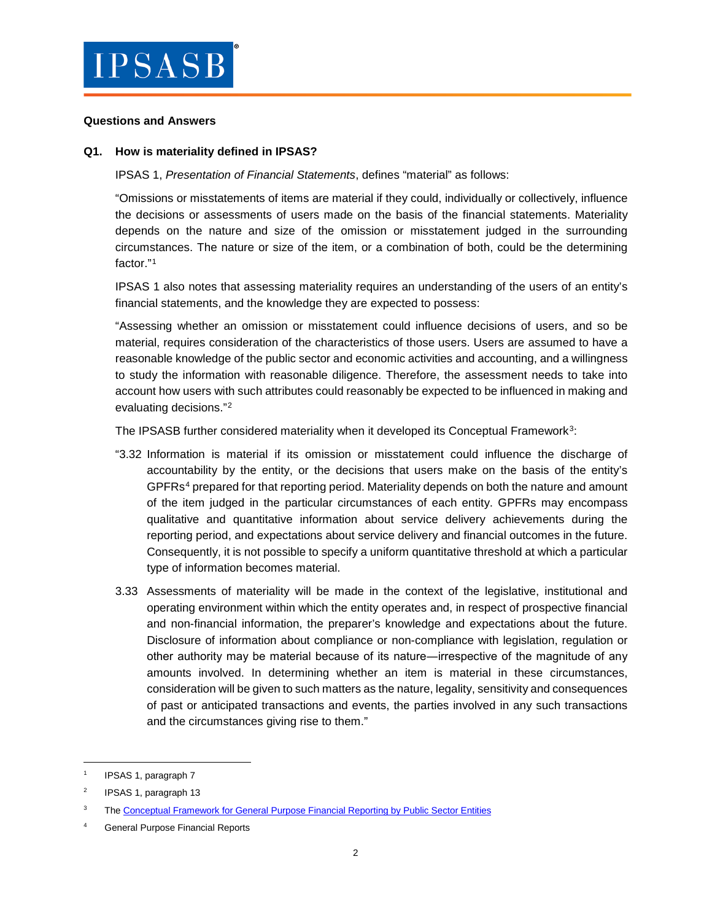

#### **Questions and Answers**

#### **Q1. How is materiality defined in IPSAS?**

#### IPSAS 1, *Presentation of Financial Statements*, defines "material" as follows:

"Omissions or misstatements of items are material if they could, individually or collectively, influence the decisions or assessments of users made on the basis of the financial statements. Materiality depends on the nature and size of the omission or misstatement judged in the surrounding circumstances. The nature or size of the item, or a combination of both, could be the determining factor."[1](#page-1-0)

IPSAS 1 also notes that assessing materiality requires an understanding of the users of an entity's financial statements, and the knowledge they are expected to possess:

"Assessing whether an omission or misstatement could influence decisions of users, and so be material, requires consideration of the characteristics of those users. Users are assumed to have a reasonable knowledge of the public sector and economic activities and accounting, and a willingness to study the information with reasonable diligence. Therefore, the assessment needs to take into account how users with such attributes could reasonably be expected to be influenced in making and evaluating decisions."[2](#page-1-1)

The IPSASB further considered materiality when it developed its Conceptual Framework<sup>3</sup>:

- "3.32 Information is material if its omission or misstatement could influence the discharge of accountability by the entity, or the decisions that users make on the basis of the entity's GPFRs<sup>[4](#page-1-3)</sup> prepared for that reporting period. Materiality depends on both the nature and amount of the item judged in the particular circumstances of each entity. GPFRs may encompass qualitative and quantitative information about service delivery achievements during the reporting period, and expectations about service delivery and financial outcomes in the future. Consequently, it is not possible to specify a uniform quantitative threshold at which a particular type of information becomes material.
- 3.33 Assessments of materiality will be made in the context of the legislative, institutional and operating environment within which the entity operates and, in respect of prospective financial and non-financial information, the preparer's knowledge and expectations about the future. Disclosure of information about compliance or non-compliance with legislation, regulation or other authority may be material because of its nature―irrespective of the magnitude of any amounts involved. In determining whether an item is material in these circumstances, consideration will be given to such matters as the nature, legality, sensitivity and consequences of past or anticipated transactions and events, the parties involved in any such transactions and the circumstances giving rise to them."

<span id="page-1-0"></span> <sup>1</sup> IPSAS 1, paragraph 7

<span id="page-1-1"></span><sup>2</sup> IPSAS 1, paragraph 13

<span id="page-1-2"></span><sup>&</sup>lt;sup>3</sup> The [Conceptual Framework for General Purpose Financial Reporting by Public Sector Entities](http://www.ifac.org/publications-resources/conceptual-framework-general-purpose-financial-reporting-public-sector-enti-8)

<span id="page-1-3"></span>General Purpose Financial Reports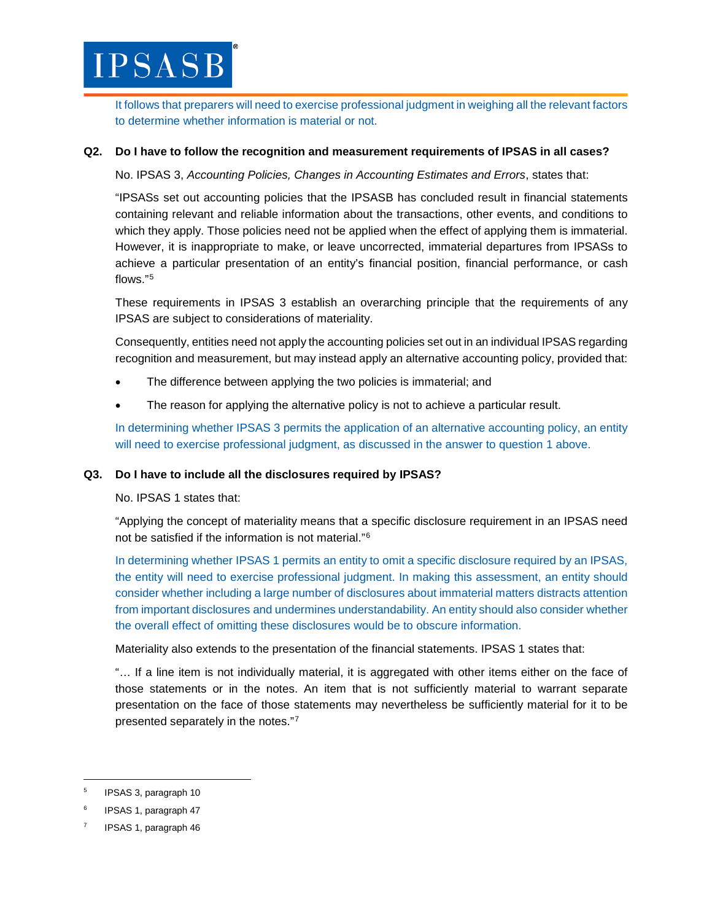

It follows that preparers will need to exercise professional judgment in weighing all the relevant factors to determine whether information is material or not.

## **Q2. Do I have to follow the recognition and measurement requirements of IPSAS in all cases?**

No. IPSAS 3, *Accounting Policies, Changes in Accounting Estimates and Errors*, states that:

"IPSASs set out accounting policies that the IPSASB has concluded result in financial statements containing relevant and reliable information about the transactions, other events, and conditions to which they apply. Those policies need not be applied when the effect of applying them is immaterial. However, it is inappropriate to make, or leave uncorrected, immaterial departures from IPSASs to achieve a particular presentation of an entity's financial position, financial performance, or cash flows."[5](#page-2-0)

These requirements in IPSAS 3 establish an overarching principle that the requirements of any IPSAS are subject to considerations of materiality.

Consequently, entities need not apply the accounting policies set out in an individual IPSAS regarding recognition and measurement, but may instead apply an alternative accounting policy, provided that:

- The difference between applying the two policies is immaterial; and
- The reason for applying the alternative policy is not to achieve a particular result.

In determining whether IPSAS 3 permits the application of an alternative accounting policy, an entity will need to exercise professional judgment, as discussed in the answer to question 1 above.

## **Q3. Do I have to include all the disclosures required by IPSAS?**

No. IPSAS 1 states that:

"Applying the concept of materiality means that a specific disclosure requirement in an IPSAS need not be satisfied if the information is not material."[6](#page-2-1)

In determining whether IPSAS 1 permits an entity to omit a specific disclosure required by an IPSAS, the entity will need to exercise professional judgment. In making this assessment, an entity should consider whether including a large number of disclosures about immaterial matters distracts attention from important disclosures and undermines understandability. An entity should also consider whether the overall effect of omitting these disclosures would be to obscure information.

Materiality also extends to the presentation of the financial statements. IPSAS 1 states that:

"… If a line item is not individually material, it is aggregated with other items either on the face of those statements or in the notes. An item that is not sufficiently material to warrant separate presentation on the face of those statements may nevertheless be sufficiently material for it to be presented separately in the notes."[7](#page-2-2)

<span id="page-2-0"></span> <sup>5</sup> IPSAS 3, paragraph 10

<span id="page-2-1"></span><sup>6</sup> IPSAS 1, paragraph 47

<span id="page-2-2"></span>IPSAS 1, paragraph 46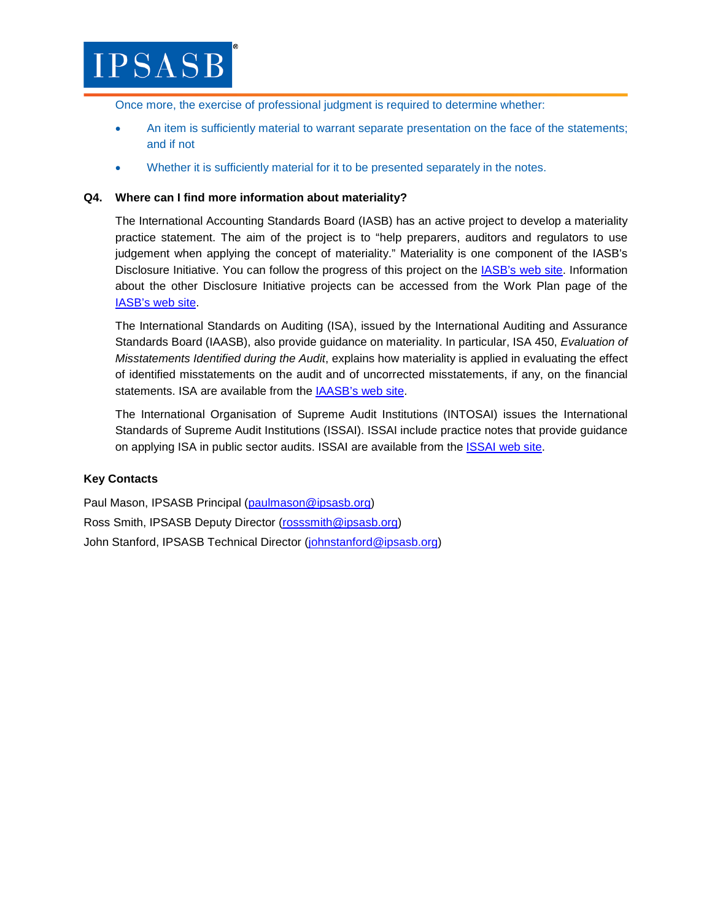

Once more, the exercise of professional judgment is required to determine whether:

- An item is sufficiently material to warrant separate presentation on the face of the statements; and if not
- Whether it is sufficiently material for it to be presented separately in the notes.

# **Q4. Where can I find more information about materiality?**

The International Accounting Standards Board (IASB) has an active project to develop a materiality practice statement. The aim of the project is to "help preparers, auditors and regulators to use judgement when applying the concept of materiality." Materiality is one component of the IASB's Disclosure Initiative. You can follow the progress of this project on the [IASB's web site.](http://www.ifrs.org/projects/work-plan/materiality-practice-statement/) Information about the other Disclosure Initiative projects can be accessed from the Work Plan page of the IASB's [web site.](http://www.ifrs.org/projects/work-plan/)

The International Standards on Auditing (ISA), issued by the International Auditing and Assurance Standards Board (IAASB), also provide guidance on materiality. In particular, ISA 450, *Evaluation of Misstatements Identified during the Audit*, explains how materiality is applied in evaluating the effect of identified misstatements on the audit and of uncorrected misstatements, if any, on the financial statements. ISA are available from the [IAASB's web site.](http://www.iaasb.org/publications-resources)

The International Organisation of Supreme Audit Institutions (INTOSAI) issues the International Standards of Supreme Audit Institutions (ISSAI). ISSAI include practice notes that provide guidance on applying ISA in public sector audits. ISSAI are available from the **ISSAI** web site.

## **Key Contacts**

Paul Mason, IPSASB Principal [\(paulmason@ipsasb.org\)](mailto:paulmason@ipsasb.org) Ross Smith, IPSASB Deputy Director [\(rosssmith@ipsasb.org\)](mailto:rosssmith@ipsasb.org) John Stanford, IPSASB Technical Director [\(johnstanford@ipsasb.org\)](mailto:johnstanford@ipsasb.org)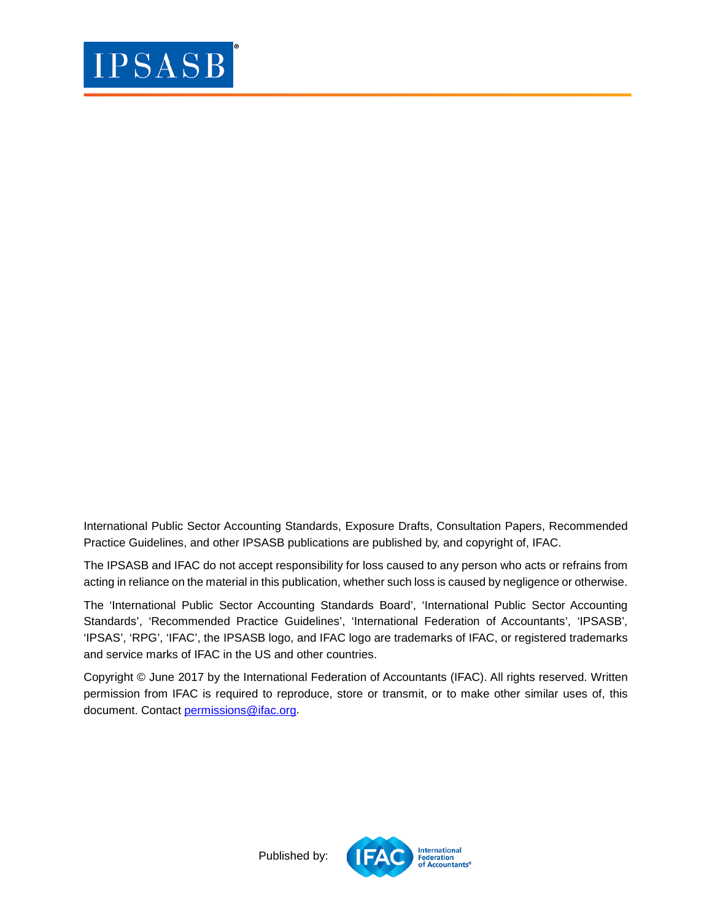

International Public Sector Accounting Standards, Exposure Drafts, Consultation Papers, Recommended Practice Guidelines, and other IPSASB publications are published by, and copyright of, IFAC.

The IPSASB and IFAC do not accept responsibility for loss caused to any person who acts or refrains from acting in reliance on the material in this publication, whether such loss is caused by negligence or otherwise.

The 'International Public Sector Accounting Standards Board', 'International Public Sector Accounting Standards', 'Recommended Practice Guidelines', 'International Federation of Accountants', 'IPSASB', 'IPSAS', 'RPG', 'IFAC', the IPSASB logo, and IFAC logo are trademarks of IFAC, or registered trademarks and service marks of IFAC in the US and other countries.

Copyright © June 2017 by the International Federation of Accountants (IFAC). All rights reserved. Written permission from IFAC is required to reproduce, store or transmit, or to make other similar uses of, this document. Contact [permissions@ifac.org.](mailto:permissions@ifac.org)



Published by: